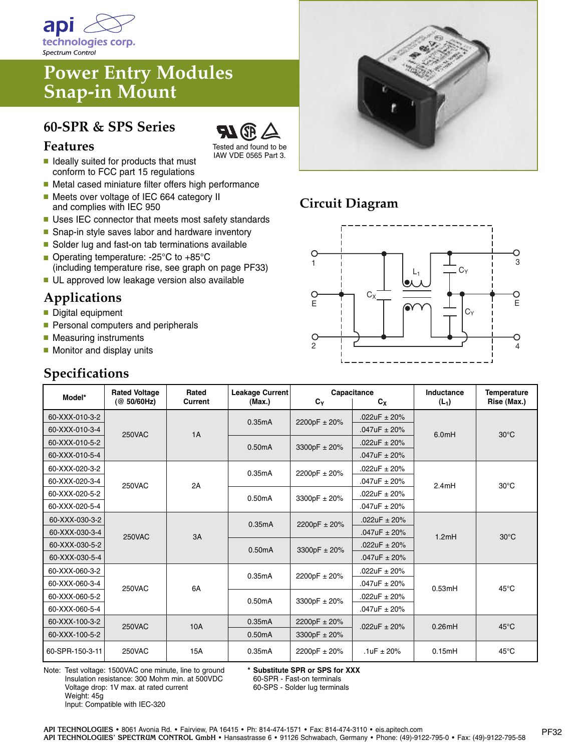

# **Power Entry Modules Snap-in Mount**

### **60-SPR & SPS Series**



- Tested and found to be IAW VDE 0565 Part 3.
- **■** Ideally suited for products that must conform to FCC part 15 regulations
- Metal cased miniature filter offers high performance ■ Meets over voltage of IEC 664 category II
- and complies with IEC 950
- **■** Uses IEC connector that meets most safety standards
- Snap-in style saves labor and hardware inventory
- Solder lug and fast-on tab terminations available ■ Operating temperature: -25°C to +85°C
- (including temperature rise, see graph on page PF33) ■ UL approved low leakage version also available

## **Applications**

- **■** Digital equipment
- Personal computers and peripherals
- Measuring instruments
- Monitor and display units

### **Specifications**



## **Circuit Diagram**



| Model*          | <b>Rated Voltage</b><br>(@ 50/60Hz) | Rated<br><b>Current</b> | Leakage Current<br>(Max.) | $C_{\rm v}$  | Capacitance<br>$c_{x}$ | Inductance<br>$(L_1)$ | <b>Temperature</b><br>Rise (Max.) |
|-----------------|-------------------------------------|-------------------------|---------------------------|--------------|------------------------|-----------------------|-----------------------------------|
| 60-XXX-010-3-2  | <b>250VAC</b>                       | 1A                      | 0.35mA                    | 2200pF ± 20% | .022uF $\pm$ 20%       | 6.0mH                 | $30^{\circ}$ C                    |
| 60-XXX-010-3-4  |                                     |                         |                           |              | $.047uF \pm 20%$       |                       |                                   |
| 60-XXX-010-5-2  |                                     |                         | 0.50mA                    | 3300pF ± 20% | .022uF $\pm$ 20%       |                       |                                   |
| 60-XXX-010-5-4  |                                     |                         |                           |              | $.047uF \pm 20%$       |                       |                                   |
| 60-XXX-020-3-2  | <b>250VAC</b>                       | 2A                      | 0.35mA                    | 2200pF ± 20% | .022uF $\pm$ 20%       | 2.4mH                 | $30^{\circ}$ C                    |
| 60-XXX-020-3-4  |                                     |                         |                           |              | $.047uF \pm 20%$       |                       |                                   |
| 60-XXX-020-5-2  |                                     |                         | 0.50mA                    | 3300pF ± 20% | $.022uF \pm 20%$       |                       |                                   |
| 60-XXX-020-5-4  |                                     |                         |                           |              | $.047uF \pm 20%$       |                       |                                   |
| 60-XXX-030-3-2  | <b>250VAC</b>                       | 3A                      | 0.35mA                    | 2200pF ± 20% | .022uF $\pm$ 20%       | 1.2mH                 | $30^{\circ}$ C                    |
| 60-XXX-030-3-4  |                                     |                         |                           |              | $.047uF \pm 20%$       |                       |                                   |
| 60-XXX-030-5-2  |                                     |                         | 0.50mA                    | 3300pF ± 20% | .022uF $\pm$ 20%       |                       |                                   |
| 60-XXX-030-5-4  |                                     |                         |                           |              | $.047uF \pm 20%$       |                       |                                   |
| 60-XXX-060-3-2  | <b>250VAC</b>                       | 6A                      | 0.35mA                    | 2200pF ± 20% | .022uF $\pm$ 20%       | 0.53mH                | $45^{\circ}$ C                    |
| 60-XXX-060-3-4  |                                     |                         |                           |              | $.047uF \pm 20%$       |                       |                                   |
| 60-XXX-060-5-2  |                                     |                         | 0.50mA                    | 3300pF ± 20% | $.022uF \pm 20%$       |                       |                                   |
| 60-XXX-060-5-4  |                                     |                         |                           |              | $.047uF \pm 20%$       |                       |                                   |
| 60-XXX-100-3-2  | 250VAC                              | 10A                     | 0.35mA                    | 2200pF ± 20% | .022uF $\pm$ 20%       | 0.26mH                | $45^{\circ}$ C                    |
| 60-XXX-100-5-2  |                                     |                         | 0.50mA                    | 3300pF ± 20% |                        |                       |                                   |
| 60-SPR-150-3-11 | <b>250VAC</b>                       | 15A                     | 0.35mA                    | 2200pF ± 20% | .1uF $\pm$ 20%         | 0.15mH                | $45^{\circ}$ C                    |

Note: Test voltage: 1500VAC one minute, line to ground Insulation resistance: 300 Mohm min. at 500VDC Voltage drop: 1V max. at rated current Weight: 45g Input: Compatible with IEC-320

**\* Substitute SPR or SPS for XXX**

60-SPR - Fast-on terminals

60-SPS - Solder lug terminals